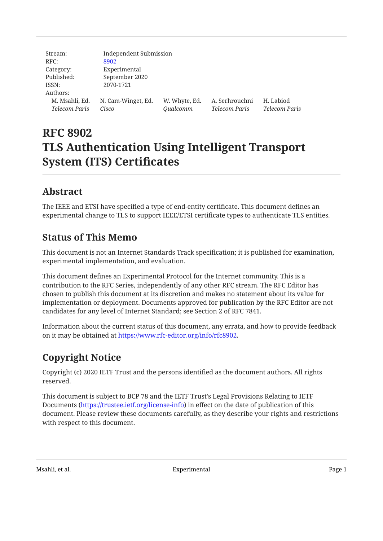| Stream:        | Independent Submission |               |                |                      |
|----------------|------------------------|---------------|----------------|----------------------|
| RFC:           | 8902                   |               |                |                      |
| Category:      | Experimental           |               |                |                      |
| Published:     | September 2020         |               |                |                      |
| ISSN:          | 2070-1721              |               |                |                      |
| Authors:       |                        |               |                |                      |
| M. Msahli, Ed. | N. Cam-Winget, Ed.     | W. Whyte, Ed. | A. Serhrouchni | H. Labiod            |
| Telecom Paris  | Cisco                  | Qualcomm      | Telecom Paris  | <b>Telecom Paris</b> |

# **RFC 8902 TLS Authentication Using Intelligent Transport System (ITS) Certificates**

## <span id="page-0-0"></span>**[Abstract](#page-0-0)**

The IEEE and ETSI have specified a type of end-entity certificate. This document defines an experimental change to TLS to support IEEE/ETSI certificate types to authenticate TLS entities.

## <span id="page-0-1"></span>**[Status of This Memo](#page-0-1)**

This document is not an Internet Standards Track specification; it is published for examination, experimental implementation, and evaluation.

This document defines an Experimental Protocol for the Internet community. This is a contribution to the RFC Series, independently of any other RFC stream. The RFC Editor has chosen to publish this document at its discretion and makes no statement about its value for implementation or deployment. Documents approved for publication by the RFC Editor are not candidates for any level of Internet Standard; see Section 2 of RFC 7841.

Information about the current status of this document, any errata, and how to provide feedback on it may be obtained at <https://www.rfc-editor.org/info/rfc8902>.

# <span id="page-0-2"></span>**[Copyright Notice](#page-0-2)**

Copyright (c) 2020 IETF Trust and the persons identified as the document authors. All rights reserved.

This document is subject to BCP 78 and the IETF Trust's Legal Provisions Relating to IETF Documents (<https://trustee.ietf.org/license-info>) in effect on the date of publication of this document. Please review these documents carefully, as they describe your rights and restrictions with respect to this document.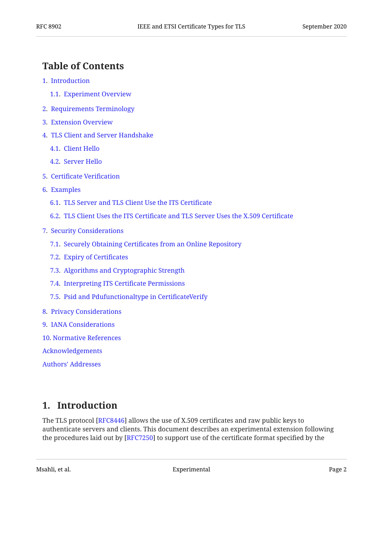#### <span id="page-1-0"></span>**[Table of Contents](#page-1-0)**

- [1.](#page-1-1) [Introduction](#page-1-1)
	- [1.1.](#page-3-0) [Experiment Overview](#page-3-0)
- [2.](#page-3-1) [Requirements Terminology](#page-3-1)
- [3.](#page-3-2) [Extension Overview](#page-3-2)
- [4.](#page-4-0) [TLS Client and Server Handshake](#page-4-0)
	- [4.1.](#page-5-0) [Client Hello](#page-5-0)
	- [4.2.](#page-6-0) [Server Hello](#page-6-0)
- [5.](#page-6-1) Certifi[cate Veri](#page-6-1)fication
- [6.](#page-7-0) [Examples](#page-7-0)
	- [6.1.](#page-7-1) [TLS Server and TLS Client Use the ITS Certi](#page-7-1)ficate
	- [6.2.](#page-8-0) TLS Client Uses the ITS Certifi[cate and TLS Server Uses the X.509 Certi](#page-8-0)ficate
- [7.](#page-8-1) [Security Considerations](#page-8-1)
	- [7.1.](#page-8-2) Securely Obtaining Certifi[cates from an Online Repository](#page-8-2)
	- [7.2.](#page-8-3) [Expiry of Certi](#page-8-3)ficates
	- [7.3.](#page-9-0) [Algorithms and Cryptographic Strength](#page-9-0)
	- [7.4.](#page-9-1) [Interpreting ITS Certi](#page-9-1)ficate Permissions
	- [7.5.](#page-9-2) [Psid and Pdufunctionaltype in Certi](#page-9-2)ficateVerify
- [8.](#page-10-0) [Privacy Considerations](#page-10-0)
- [9.](#page-10-1) [IANA Considerations](#page-10-1)
- [10](#page-10-2). [Normative References](#page-10-2)

[Acknowledgements](#page-11-0)

[Authors' Addresses](#page-11-1)

### <span id="page-1-1"></span>**[1. Introduction](#page-1-1)**

The TLS protocol [RFC8446] allows the use of X.509 certificates and raw public keys to authenticate servers and clients. This document describes an experimental extension following the procedures laid out by  $[{\rm RFC}7250]$  to support use of the certificate format specified by the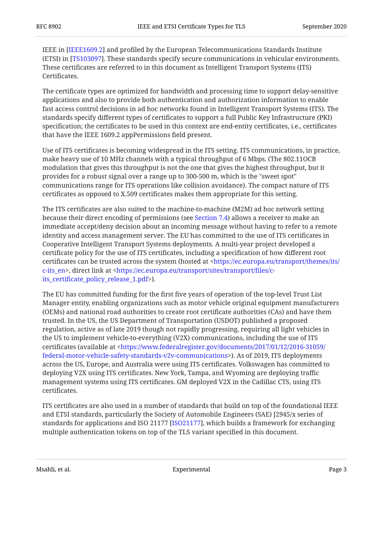IEEE in [IEEE1609.2] and profiled by the European Telecommunications Standards Institute (ETSI) in [TS103097]. These standards specify secure communications in vehicular environments. These certificates are referred to in this document as Intelligent Transport Systems (ITS) Certificates.

The certificate types are optimized for bandwidth and processing time to support delay-sensitive applications and also to provide both authentication and authorization information to enable fast access control decisions in ad hoc networks found in Intelligent Transport Systems (ITS). The standards specify different types of certificates to support a full Public Key Infrastructure (PKI) specification; the certificates to be used in this context are end-entity certificates, i.e., certificates that have the IEEE 1609.2 appPermissions field present.

Use of ITS certificates is becoming widespread in the ITS setting. ITS communications, in practice, make heavy use of 10 MHz channels with a typical throughput of 6 Mbps. (The 802.11OCB modulation that gives this throughput is not the one that gives the highest throughput, but it provides for a robust signal over a range up to 300-500 m, which is the "sweet spot" communications range for ITS operations like collision avoidance). The compact nature of ITS certificates as opposed to X.509 certificates makes them appropriate for this setting.

The ITS certificates are also suited to the machine-to-machine (M2M) ad hoc network setting because their direct encoding of permissions (see [Section 7.4\)](#page-9-1) allows a receiver to make an immediate accept/deny decision about an incoming message without having to refer to a remote identity and access management server. The EU has committed to the use of ITS certificates in Cooperative Intelligent Transport Systems deployments. A multi-year project developed a certificate policy for the use of ITS certificates, including a specification of how different root certificates can be trusted across the system (hosted at < [https://ec.europa.eu/transport/themes/its/](https://ec.europa.eu/transport/themes/its/c-its_en) [c-its\\_en](https://ec.europa.eu/transport/themes/its/c-its_en)>, direct link at <https://ec.europa.eu/transport/sites/transport/files/c->). its\_certifi[cate\\_policy\\_release\\_1.pdf](https://ec.europa.eu/transport/sites/transport/files/c-its_certificate_policy_release_1.pdf)

The EU has committed funding for the first five years of operation of the top-level Trust List Manager entity, enabling organizations such as motor vehicle original equipment manufacturers (OEMs) and national road authorities to create root certificate authorities (CAs) and have them trusted. In the US, the US Department of Transportation (USDOT) published a proposed regulation, active as of late 2019 though not rapidly progressing, requiring all light vehicles in the US to implement vehicle-to-everything (V2X) communications, including the use of ITS certificates (available at < [https://www.federalregister.gov/documents/2017/01/12/2016-31059/](https://www.federalregister.gov/documents/2017/01/12/2016-31059/federal-motor-vehicle-safety-standards-v2v-communications) [federal-motor-vehicle-safety-standards-v2v-communications](https://www.federalregister.gov/documents/2017/01/12/2016-31059/federal-motor-vehicle-safety-standards-v2v-communications)>). As of 2019, ITS deployments across the US, Europe, and Australia were using ITS certificates. Volkswagen has committed to deploying V2X using ITS certificates. New York, Tampa, and Wyoming are deploying traffic management systems using ITS certificates. GM deployed V2X in the Cadillac CTS, using ITS certificates.

ITS certificates are also used in a number of standards that build on top of the foundational IEEE and ETSI standards, particularly the Society of Automobile Engineers (SAE) J2945/x series of standards for applications and ISO 21177 [ISO21177], which builds a framework for exchanging multiple authentication tokens on top of the TLS variant specified in this document.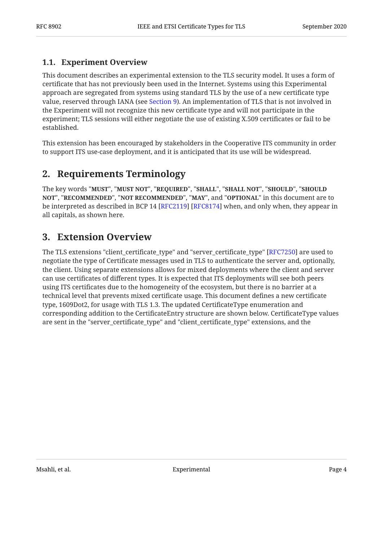#### <span id="page-3-0"></span>**[1.1. Experiment Overview](#page-3-0)**

This document describes an experimental extension to the TLS security model. It uses a form of certificate that has not previously been used in the Internet. Systems using this Experimental approach are segregated from systems using standard TLS by the use of a new certificate type value, reserved through IANA (see [Section 9\)](#page-10-1). An implementation of TLS that is not involved in the Experiment will not recognize this new certificate type and will not participate in the experiment; TLS sessions will either negotiate the use of existing X.509 certificates or fail to be established.

<span id="page-3-1"></span>This extension has been encouraged by stakeholders in the Cooperative ITS community in order to support ITS use-case deployment, and it is anticipated that its use will be widespread.

### **[2. Requirements Terminology](#page-3-1)**

The key words "MUST", "MUST NOT", "REQUIRED", "SHALL", "SHALL NOT", "SHOULD", "SHOULD <code>NOT",</code> "<code>RECOMMENDED", "NOT RECOMMENDED", "MAY", and "OPTIONAL" in this document are to</code> be interpreted as described in BCP 14 [RFC2119] [RFC8174] when, and only when, they appear in all capitals, as shown here.

### <span id="page-3-2"></span>**[3. Extension Overview](#page-3-2)**

The TLS extensions "client\_certificate\_type" and "server\_certificate\_type" [\[RFC7250](#page-11-3)] are used to negotiate the type of Certificate messages used in TLS to authenticate the server and, optionally, the client. Using separate extensions allows for mixed deployments where the client and server can use certificates of different types. It is expected that ITS deployments will see both peers using ITS certificates due to the homogeneity of the ecosystem, but there is no barrier at a technical level that prevents mixed certificate usage. This document defines a new certificate type, 1609Dot2, for usage with TLS 1.3. The updated CertificateType enumeration and corresponding addition to the CertificateEntry structure are shown below. CertificateType values are sent in the "server\_certificate\_type" and "client\_certificate\_type" extensions, and the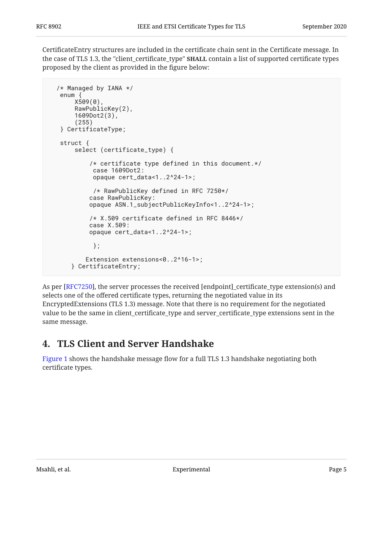CertificateEntry structures are included in the certificate chain sent in the Certificate message. In the case of TLS 1.3, the "client\_certificate\_type" **SHALL** contain a list of supported certificate types proposed by the client as provided in the figure below:

```
 /* Managed by IANA */
  enum {
      X509(0),
     RawPublicKey(2),
      1609Dot2(3),
      (255)
  } CertificateType;
  struct {
      select (certificate_type) {
          /* certificate type defined in this document.*/
           case 1609Dot2:
           opaque cert_data<1..2^24-1>;
           /* RawPublicKey defined in RFC 7250*/
          case RawPublicKey:
          opaque ASN.1_subjectPublicKeyInfo<1..2^24-1>;
          /* X.509 certificate defined in RFC 8446*/
          case X.509:
          opaque cert_data<1..2^24-1>;
           };
         Extension extensions<0..2^16-1>;
     } CertificateEntry;
```
As per [RFC7250], the server processes the received [endpoint]\_certificate\_type extension(s) and selects one of the offered certificate types, returning the negotiated value in its EncryptedExtensions (TLS 1.3) message. Note that there is no requirement for the negotiated value to be the same in client\_certificate\_type and server\_certificate\_type extensions sent in the same message.

## <span id="page-4-0"></span>**[4. TLS Client and Server Handshake](#page-4-0)**

[Figure 1](#page-5-1) shows the handshake message flow for a full TLS 1.3 handshake negotiating both certificate types.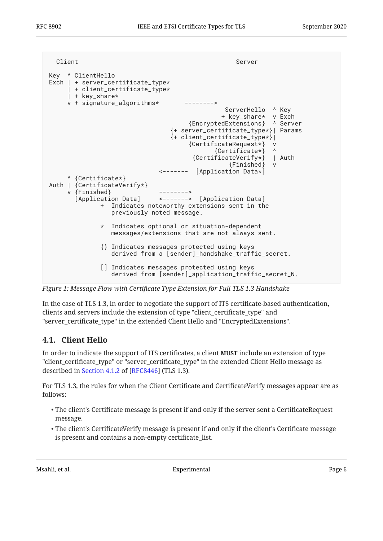<span id="page-5-1"></span>

| Client                                                                                                                                    | Server                                                                                                                                                                                             |
|-------------------------------------------------------------------------------------------------------------------------------------------|----------------------------------------------------------------------------------------------------------------------------------------------------------------------------------------------------|
| Key ^ ClientHello<br>Exch $ $ + server_certificate_type*<br>  + client_certificate_type*<br>  + key_share*<br>$v +$ signature_algorithms* | ServerHello ^ Key<br>+ key_share* v Exch<br>{EncryptedExtensions} ^ Server<br>{+ server_certificate_type*}  Params<br>{+ client_certificate_type*} <br>{CertificateRequest*} v<br>{Certificate*} ^ |
|                                                                                                                                           | {CertificateVerify*}   Auth<br>{Finished} v                                                                                                                                                        |
| ^ {Certificate*}<br>Auth   {CertificateVerify*}<br>v {Finished}<br>$+$                                                                    | <------- [Application Data*]<br>[Application Data] <-------> [Application Data]<br>Indicates noteworthy extensions sent in the<br>previously noted message.                                        |
| $\star$                                                                                                                                   | Indicates optional or situation-dependent<br>messages/extensions that are not always sent.                                                                                                         |
|                                                                                                                                           | {} Indicates messages protected using keys<br>derived from a [sender]_handshake_traffic_secret.                                                                                                    |
|                                                                                                                                           | [] Indicates messages protected using keys<br>derived from [sender]_application_traffic_secret_N.                                                                                                  |

*[Figure 1:](#page-5-1) Message Flow with Certifi[cate Type Extension for Full TLS 1.3 Handshake](#page-5-1)* 

In the case of TLS 1.3, in order to negotiate the support of ITS certificate-based authentication, clients and servers include the extension of type "client\_certificate\_type" and "server\_certificate\_type" in the extended Client Hello and "EncryptedExtensions".

#### <span id="page-5-0"></span>**[4.1. Client Hello](#page-5-0)**

In order to indicate the support of ITS certificates, a client **MUST** include an extension of type "client\_certificate\_type" or "server\_certificate\_type" in the extended Client Hello message as describedin Section 4.1.2 of [RFC8446] (TLS 1.3).

For TLS 1.3, the rules for when the Client Certificate and CertificateVerify messages appear are as follows:

- $\bullet$  The client's Certificate message is present if and only if the server sent a CertificateRequest message.
- The client's CertificateVerify message is present if and only if the client's Certificate message is present and contains a non-empty certificate\_list.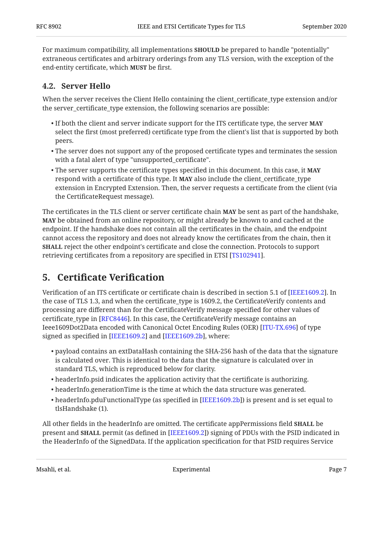For maximum compatibility, all implementations **SHOULD** be prepared to handle "potentially" extraneous certificates and arbitrary orderings from any TLS version, with the exception of the end-entity certificate, which **MUST** be first.

#### <span id="page-6-0"></span>**[4.2. Server Hello](#page-6-0)**

When the server receives the Client Hello containing the client\_certificate\_type extension and/or the server certificate type extension, the following scenarios are possible:

- If both the client and server indicate support for the ITS certificate type, the server **MAY** select the first (most preferred) certificate type from the client's list that is supported by both peers.
- $\bullet$  The server does not support any of the proposed certificate types and terminates the session with a fatal alert of type "unsupported certificate".
- The server supports the certificate types specified in this document. In this case, it **MAY** respond with a certificate of this type. It **MAY** also include the client\_certificate\_type extension in Encrypted Extension. Then, the server requests a certificate from the client (via the CertificateRequest message).

The certificates in the TLS client or server certificate chain **MAY** be sent as part of the handshake, **MAY** be obtained from an online repository, or might already be known to and cached at the endpoint. If the handshake does not contain all the certificates in the chain, and the endpoint cannot access the repository and does not already know the certificates from the chain, then it **SHALL** reject the other endpoint's certificate and close the connection. Protocols to support retrieving certificates from a repository are specified in ETSI [TS102941].

### <span id="page-6-1"></span>**[5.](#page-6-1) Certifi[cate Veri](#page-6-1)fication**

Verification of an ITS certificate or certificate chain is described in section 5.1 of [IEEE1609.2]. In the case of TLS 1.3, and when the certificate\_type is 1609.2, the CertificateVerify contents and processing are different than for the CertificateVerify message specified for other values of certificate\_type in [\[RFC8446](#page-11-2)]. In this case, the CertificateVerify message contains an Ieee1609Dot2Data encoded with Canonical Octet Encoding Rules (OER) [[ITU-TX.696](#page-10-6)] of type signed as specified in [IEEE1609.2] and [IEEE1609.2b], where:

- $\bullet$  payload contains an extDataHash containing the SHA-256 hash of the data that the signature is calculated over. This is identical to the data that the signature is calculated over in standard TLS, which is reproduced below for clarity.
- headerInfo.psid indicates the application activity that the certificate is authorizing. •
- headerInfo.generationTime is the time at which the data structure was generated. •
- $\bullet$  headerInfo.pduFunctionalType (as specified in [\[IEEE1609.2b](#page-10-7)]) is present and is set equal to tlsHandshake (1).

All other fields in the headerInfo are omitted. The certificate appPermissions field **SHALL** be present and **SHALL** permit (as defined in [IEEE1609.2]) signing of PDUs with the PSID indicated in the HeaderInfo of the SignedData. If the application specification for that PSID requires Service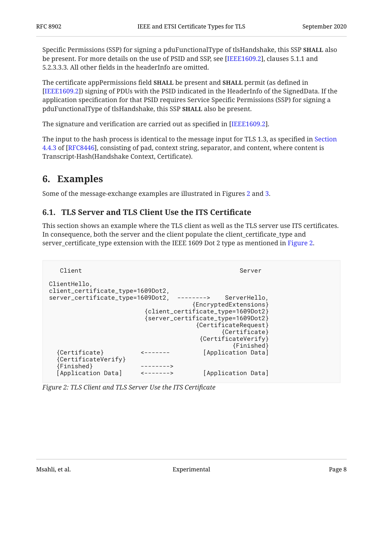Specific Permissions (SSP) for signing a pduFunctionalType of tlsHandshake, this SSP **SHALL** also be present. For more details on the use of PSID and SSP, see [IEEE1609.2], clauses 5.1.1 and 5.2.3.3.3. All other fields in the headerInfo are omitted.

The certificate appPermissions field **SHALL** be present and **SHALL** permit (as defined in [[IEEE1609.2\]](#page-10-3)) signing of PDUs with the PSID indicated in the HeaderInfo of the SignedData. If the application specification for that PSID requires Service Specific Permissions (SSP) for signing a pduFunctionalType of tlsHandshake, this SSP **SHALL** also be present.

The signature and verification are carried out as specified in [IEEE1609.2].

The input to the hash process is identical to the message input for TLS 1.3, as specified in [Section](https://www.rfc-editor.org/rfc/rfc8446#section-4.4.3) [4.4.3](https://www.rfc-editor.org/rfc/rfc8446#section-4.4.3) of [[RFC8446\]](#page-11-2), consisting of pad, context string, separator, and content, where content is Transcript-Hash(Handshake Context, Certificate).

### <span id="page-7-0"></span>**[6. Examples](#page-7-0)**

<span id="page-7-1"></span>Some of the message-exchange examples are illustrated in Figures [2](#page-7-2) and [3](#page-8-4).

#### **[6.1. TLS Server and TLS Client Use the ITS Certi](#page-7-1)ficate**

This section shows an example where the TLS client as well as the TLS server use ITS certificates. In consequence, both the server and the client populate the client\_certificate\_type and server\_certificate\_type extension with the IEEE 1609 Dot 2 type as mentioned in [Figure 2](#page-7-2).

```
Client Server Server Server Server Server Server Server Server Server Server Server Server Server Server Server
ClientHello,
client_certificate_type=1609Dot2,
server_certificate_type=1609Dot2, --------> ServerHello,
                                           {EncryptedExtensions}
                             {client_certificate_type=1609Dot2}
                             {server_certificate_type=1609Dot2}
                                           {CertificateRequest}
                                                   {Certificate}
                                             {CertificateVerify}
                                                       {Finished}
   {Certificate} <------- [Application Data]
   {CertificateVerify}
   {Finished} -------->
   [Application Data] <-------> [Application Data]
```
*[Figure 2: TLS Client and TLS Server Use the ITS Certi](#page-7-2)ficate*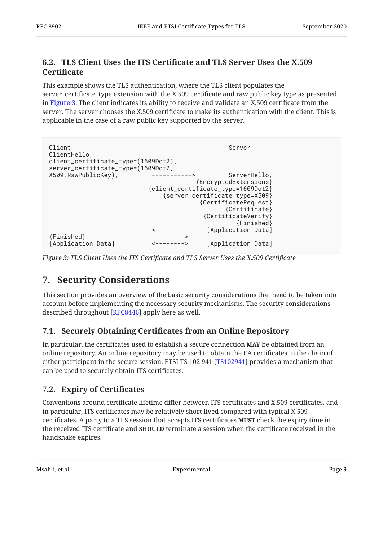#### <span id="page-8-0"></span>**[6.2. T](#page-8-0)LS Client Uses the ITS Certifi[cate and TLS Server Uses the X.509](#page-8-0) [Certi](#page-8-0)ficate**

This example shows the TLS authentication, where the TLS client populates the server\_certificate\_type extension with the X.509 certificate and raw public key type as presented in [Figure 3](#page-8-4). The client indicates its ability to receive and validate an X.509 certificate from the server. The server chooses the X.509 certificate to make its authentication with the client. This is applicable in the case of a raw public key supported by the server.

```
Client Server
ClientHello,
client_certificate_type=(1609Dot2),
server_certificate_type=(1609Dot2,
X509, RawPublicKey), The Contract -----------> ServerHello,
                                    {EncryptedExtensions}
                         {client_certificate_type=1609Dot2}
                            {server_certificate_type=X509}
                                     {CertificateRequest}
                                           {Certificate}
                                      {CertificateVerify}
                                              {Finished}
                         <--------- [Application Data]
{Finished} --------->
[Application Data] <--------> [Application Data]
```
<span id="page-8-1"></span>*[Figure 3:](#page-8-4) TLS Client Uses the ITS Certifi[cate and TLS Server Uses the X.509 Certi](#page-8-4)ficate* 

### **[7. Security Considerations](#page-8-1)**

This section provides an overview of the basic security considerations that need to be taken into account before implementing the necessary security mechanisms. The security considerations described throughout [RFC8446] apply here as well.

#### <span id="page-8-2"></span>**[7.1. S](#page-8-2)ecurely Obtaining Certifi[cates from an Online Repository](#page-8-2)**

In particular, the certificates used to establish a secure connection **MAY** be obtained from an online repository. An online repository may be used to obtain the CA certificates in the chain of either participant in the secure session. ETSI TS 102 941 [TS102941] provides a mechanism that can be used to securely obtain ITS certificates.

#### <span id="page-8-3"></span>**[7.2. Expiry of Certi](#page-8-3)ficates**

Conventions around certificate lifetime differ between ITS certificates and X.509 certificates, and in particular, ITS certificates may be relatively short lived compared with typical X.509 certificates. A party to a TLS session that accepts ITS certificates **MUST** check the expiry time in the received ITS certificate and **SHOULD** terminate a session when the certificate received in the handshake expires.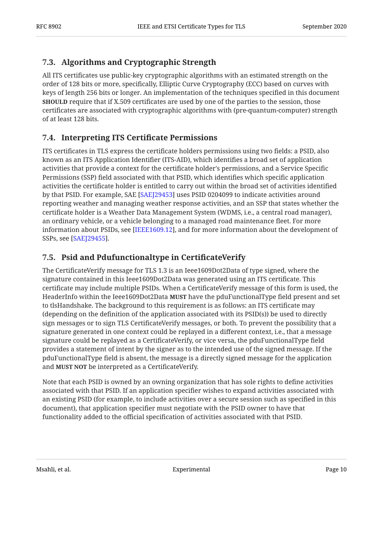#### <span id="page-9-0"></span>**[7.3. Algorithms and Cryptographic Strength](#page-9-0)**

All ITS certificates use public-key cryptographic algorithms with an estimated strength on the order of 128 bits or more, specifically, Elliptic Curve Cryptography (ECC) based on curves with keys of length 256 bits or longer. An implementation of the techniques specified in this document **SHOULD** require that if X.509 certificates are used by one of the parties to the session, those certificates are associated with cryptographic algorithms with (pre-quantum-computer) strength of at least 128 bits.

#### <span id="page-9-1"></span>**[7.4. Interpreting ITS Certi](#page-9-1)ficate Permissions**

ITS certificates in TLS express the certificate holders permissions using two fields: a PSID, also known as an ITS Application Identifier (ITS-AID), which identifies a broad set of application activities that provide a context for the certificate holder's permissions, and a Service Specific Permissions (SSP) field associated with that PSID, which identifies which specific application activities the certificate holder is entitled to carry out within the broad set of activities identified by that PSID. For example, SAE [SAEJ29453] uses PSID 0204099 to indicate activities around reporting weather and managing weather response activities, and an SSP that states whether the certificate holder is a Weather Data Management System (WDMS, i.e., a central road manager), an ordinary vehicle, or a vehicle belonging to a managed road maintenance fleet. For more information about PSIDs, see [IEEE1609.12], and for more information about the development of SSPs, see [[SAEJ29455\]](#page-11-8).

#### <span id="page-9-2"></span>**[7.5. Psid and Pdufunctionaltype in Certi](#page-9-2)ficateVerify**

The CertificateVerify message for TLS 1.3 is an Ieee1609Dot2Data of type signed, where the signature contained in this Ieee1609Dot2Data was generated using an ITS certificate. This certificate may include multiple PSIDs. When a CertificateVerify message of this form is used, the HeaderInfo within the Ieee1609Dot2Data **MUST** have the pduFunctionalType field present and set to tlsHandshake. The background to this requirement is as follows: an ITS certificate may (depending on the definition of the application associated with its PSID(s)) be used to directly sign messages or to sign TLS CertificateVerify messages, or both. To prevent the possibility that a signature generated in one context could be replayed in a different context, i.e., that a message signature could be replayed as a CertificateVerify, or vice versa, the pduFunctionalType field provides a statement of intent by the signer as to the intended use of the signed message. If the pduFunctionalType field is absent, the message is a directly signed message for the application and **MUST NOT** be interpreted as a CertificateVerify.

Note that each PSID is owned by an owning organization that has sole rights to define activities associated with that PSID. If an application specifier wishes to expand activities associated with an existing PSID (for example, to include activities over a secure session such as specified in this document), that application specifier must negotiate with the PSID owner to have that functionality added to the official specification of activities associated with that PSID.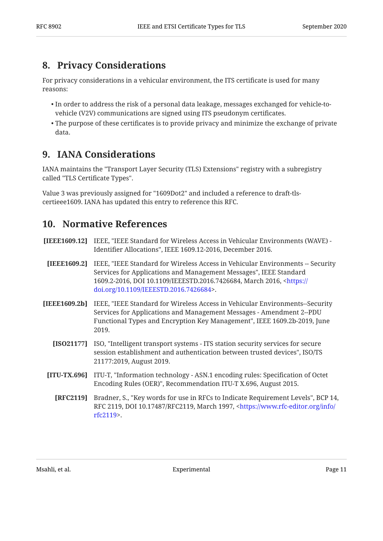### <span id="page-10-0"></span>**[8. Privacy Considerations](#page-10-0)**

For privacy considerations in a vehicular environment, the ITS certificate is used for many reasons:

- $\bullet$  In order to address the risk of a personal data leakage, messages exchanged for vehicle-tovehicle (V2V) communications are signed using ITS pseudonym certificates.
- $\bullet$  The purpose of these certificates is to provide privacy and minimize the exchange of private data.

### <span id="page-10-1"></span>**[9. IANA Considerations](#page-10-1)**

IANA maintains the "Transport Layer Security (TLS) Extensions" registry with a subregistry called "TLS Certificate Types".

<span id="page-10-2"></span>Value 3 was previously assigned for "1609Dot2" and included a reference to draft-tlscertieee1609. IANA has updated this entry to reference this RFC.

### **[10. Normative References](#page-10-2)**

- <span id="page-10-8"></span>**[IEEE1609.12]** IEEE, "IEEE Standard for Wireless Access in Vehicular Environments (WAVE) -Identifier Allocations", IEEE 1609.12-2016, December 2016.
- <span id="page-10-3"></span>**[IEEE1609.2]** IEEE, "IEEE Standard for Wireless Access in Vehicular Environments -- Security Services for Applications and Management Messages", IEEE Standard 1609.2-2016, DOI 10.1109/IEEESTD.2016.7426684, March 2016, <[https://](https://doi.org/10.1109/IEEESTD.2016.7426684) . [doi.org/10.1109/IEEESTD.2016.7426684>](https://doi.org/10.1109/IEEESTD.2016.7426684)
- <span id="page-10-7"></span><span id="page-10-6"></span><span id="page-10-4"></span>[IEEE1609.2b] IEEE, "IEEE Standard for Wireless Access in Vehicular Environments--Security Functional Types and Encryption Key Management", IEEE 1609.2b-2019, June 2019. Services for Applications and Management Messages - Amendment 2--PDU
	- **[ISO21177]** ISO, "Intelligent transport systems ITS station security services for secure session establishment and authentication between trusted devices", ISO/TS 21177:2019, August 2019.
	- **[ITU-TX.696]** ITU-T, "Information technology ASN.1 encoding rules: Specification of Octet , , August 2015. Encoding Rules (OER)" Recommendation ITU-T X.696
		- **[RFC2119]** Bradner, S., "Key words for use in RFCs to Indicate Requirement Levels", BCP 14, RFC 2119, DOI 10.17487/RFC2119, March 1997, <[https://www.rfc-editor.org/info/](https://www.rfc-editor.org/info/rfc2119) . [rfc2119>](https://www.rfc-editor.org/info/rfc2119)

<span id="page-10-5"></span>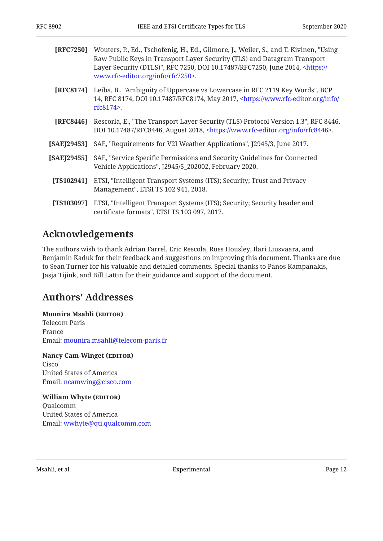<span id="page-11-5"></span><span id="page-11-3"></span><span id="page-11-2"></span>

| [RFC7250]  | Wouters, P., Ed., Tschofenig, H., Ed., Gilmore, J., Weiler, S., and T. Kivinen, "Using<br>Raw Public Keys in Transport Layer Security (TLS) and Datagram Transport<br>Layer Security (DTLS)", RFC 7250, DOI 10.17487/RFC7250, June 2014, <https: <br="">www.rfc-editor.org/info/rfc7250&gt;.</https:> |
|------------|-------------------------------------------------------------------------------------------------------------------------------------------------------------------------------------------------------------------------------------------------------------------------------------------------------|
| [RFC8174]  | Leiba, B., "Ambiguity of Uppercase vs Lowercase in RFC 2119 Key Words", BCP<br>14, RFC 8174, DOI 10.17487/RFC8174, May 2017, <https: <br="" info="" www.rfc-editor.org=""><math>rfc8174</math>.</https:>                                                                                              |
| [RFC8446]  | Rescorla, E., "The Transport Layer Security (TLS) Protocol Version 1.3", RFC 8446,<br>DOI 10.17487/RFC8446, August 2018, <https: info="" rfc8446="" www.rfc-editor.org="">.</https:>                                                                                                                  |
|            | [SAE]29453] SAE, "Requirements for V2I Weather Applications", [2945/3, June 2017.                                                                                                                                                                                                                     |
|            | [SAE]29455] SAE, "Service Specific Permissions and Security Guidelines for Connected<br>Vehicle Applications", J2945/5_202002, February 2020.                                                                                                                                                         |
| [TS102941] | ETSI, "Intelligent Transport Systems (ITS); Security; Trust and Privacy<br>Management", ETSI TS 102 941, 2018.                                                                                                                                                                                        |
| [TS103097] | ETSI, "Intelligent Transport Systems (ITS); Security; Security header and<br>certificate formats", ETSI TS 103 097, 2017.                                                                                                                                                                             |

#### <span id="page-11-8"></span><span id="page-11-7"></span><span id="page-11-6"></span><span id="page-11-4"></span><span id="page-11-0"></span>**[Acknowledgements](#page-11-0)**

The authors wish to thank Adrian Farrel, Eric Rescola, Russ Housley, Ilari Liusvaara, and Benjamin Kaduk for their feedback and suggestions on improving this document. Thanks are due to Sean Turner for his valuable and detailed comments. Special thanks to Panos Kampanakis, Jasja Tijink, and Bill Lattin for their guidance and support of the document.

### <span id="page-11-1"></span>**[Authors' Addresses](#page-11-1)**

#### **Mounira Msahli (EDITOR)**

Telecom Paris France Email: [mounira.msahli@telecom-paris.fr](mailto:mounira.msahli@telecom-paris.fr)

**Nancy Cam-Winget (EDITOR)** Cisco United States of America Email: [ncamwing@cisco.com](mailto:ncamwing@cisco.com)

**William Whyte (EDITOR)** Qualcomm United States of America Email: [wwhyte@qti.qualcomm.com](mailto:wwhyte@qti.qualcomm.com)